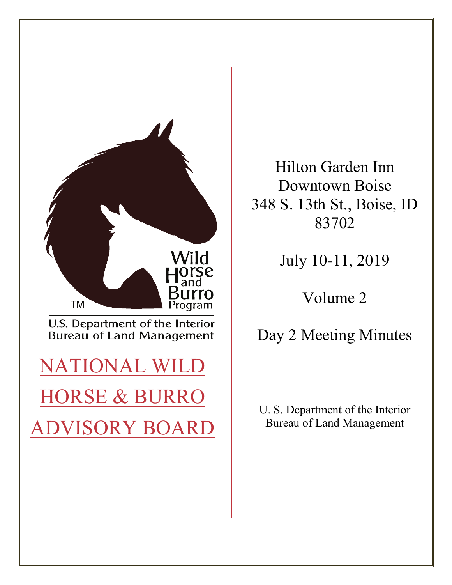

Hilton Garden Inn Downtown Boise 348 S. 13th St., Boise, ID 83702

July 10-11, 2019

Volume 2

Day 2 Meeting Minutes

 U. S. Department of the Interior Bureau of Land Management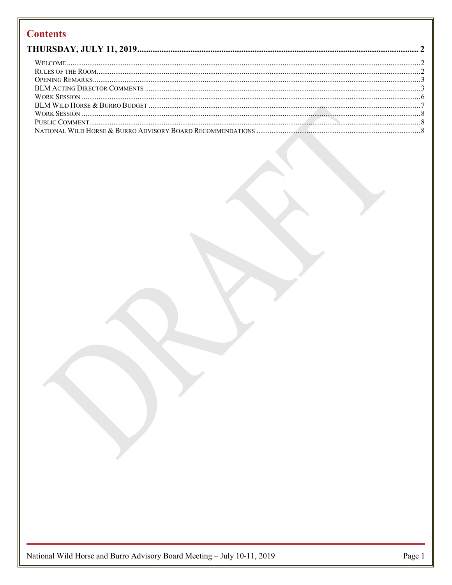# **Contents**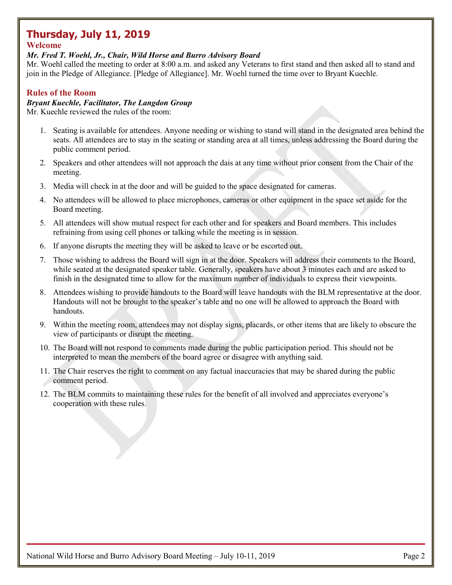# <span id="page-2-0"></span> **Thursday, July 11, 2019**

## <span id="page-2-1"></span>**Welcome**

#### *Mr. Fred T. Woehl, Jr., Chair, Wild Horse and Burro Advisory Board*

 Mr. Woehl called the meeting to order at 8:00 a.m. and asked any Veterans to first stand and then asked all to stand and join in the Pledge of Allegiance. [Pledge of Allegiance]. Mr. Woehl turned the time over to Bryant Kuechle.

## <span id="page-2-2"></span>**Rules of the Room**

### *Bryant Kuechle, Facilitator, The Langdon Group*

Mr. Kuechle reviewed the rules of the room:

- 1. Seating is available for attendees. Anyone needing or wishing to stand will stand in the designated area behind the seats. All attendees are to stay in the seating or standing area at all times, unless addressing the Board during the public comment period.
- 2. Speakers and other attendees will not approach the dais at any time without prior consent from the Chair of the meeting.
- 3. Media will check in at the door and will be guided to the space designated for cameras.
- 4. No attendees will be allowed to place microphones, cameras or other equipment in the space set aside for the Board meeting.
- 5. All attendees will show mutual respect for each other and for speakers and Board members. This includes refraining from using cell phones or talking while the meeting is in session.
- 6. If anyone disrupts the meeting they will be asked to leave or be escorted out.
- 7. Those wishing to address the Board will sign in at the door. Speakers will address their comments to the Board, while seated at the designated speaker table. Generally, speakers have about 3 minutes each and are asked to finish in the designated time to allow for the maximum number of individuals to express their viewpoints.
- 8. Attendees wishing to provide handouts to the Board will leave handouts with the BLM representative at the door. Handouts will not be brought to the speaker's table and no one will be allowed to approach the Board with handouts.
- 9. Within the meeting room, attendees may not display signs, placards, or other items that are likely to obscure the view of participants or disrupt the meeting.
- 10. The Board will not respond to comments made during the public participation period. This should not be interpreted to mean the members of the board agree or disagree with anything said.
- comment period. 11. The Chair reserves the right to comment on any factual inaccuracies that may be shared during the public
- 12. The BLM commits to maintaining these rules for the benefit of all involved and appreciates everyone's cooperation with these rules.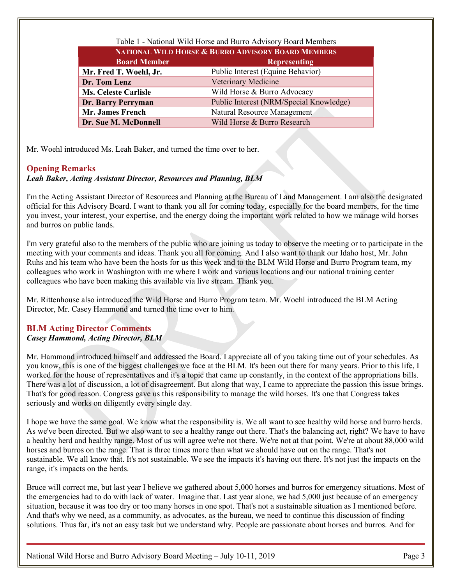| Table 1 - National Wild Horse and Burro Advisory Board Members |                                         |  |
|----------------------------------------------------------------|-----------------------------------------|--|
| NATIONAL WILD HORSE & BURRO ADVISORY BOARD MEMBERS             |                                         |  |
| <b>Board Member</b>                                            | <b>Representing</b>                     |  |
| Mr. Fred T. Woehl, Jr.                                         | Public Interest (Equine Behavior)       |  |
| Dr. Tom Lenz                                                   | Veterinary Medicine                     |  |
| <b>Ms. Celeste Carlisle</b>                                    | Wild Horse & Burro Advocacy             |  |
| Dr. Barry Perryman                                             | Public Interest (NRM/Special Knowledge) |  |
| <b>Mr. James French</b>                                        | Natural Resource Management             |  |
| Dr. Sue M. McDonnell                                           | Wild Horse & Burro Research             |  |

Mr. Woehl introduced Ms. Leah Baker, and turned the time over to her.

# <span id="page-3-0"></span>**Opening Remarks**

### *Leah Baker, Acting Assistant Director, Resources and Planning, BLM*

 I'm the Acting Assistant Director of Resources and Planning at the Bureau of Land Management. I am also the designated official for this Advisory Board. I want to thank you all for coming today, especially for the board members, for the time you invest, your interest, your expertise, and the energy doing the important work related to how we manage wild horses and burros on public lands.

 I'm very grateful also to the members of the public who are joining us today to observe the meeting or to participate in the Ruhs and his team who have been the hosts for us this week and to the BLM Wild Horse and Burro Program team, my colleagues who have been making this available via live stream. Thank you. meeting with your comments and ideas. Thank you all for coming. And I also want to thank our Idaho host, Mr. John colleagues who work in Washington with me where I work and various locations and our national training center

Mr. Rittenhouse also introduced the Wild Horse and Burro Program team. Mr. Woehl introduced the BLM Acting Director, Mr. Casey Hammond and turned the time over to him.

## <span id="page-3-1"></span>**BLM Acting Director Comments**  *Casey Hammond, Acting Director, BLM*

 Mr. Hammond introduced himself and addressed the Board. I appreciate all of you taking time out of your schedules. As you know, this is one of the biggest challenges we face at the BLM. It's been out there for many years. Prior to this life, I There was a lot of discussion, a lot of disagreement. But along that way, I came to appreciate the passion this issue brings. worked for the house of representatives and it's a topic that came up constantly, in the context of the appropriations bills. That's for good reason. Congress gave us this responsibility to manage the wild horses. It's one that Congress takes seriously and works on diligently every single day.

As we've been directed. But we also want to see a healthy range out there. That's the balancing act, right? We have to have a healthy herd and healthy range. Most of us will agree we're not there. We're not at that point. We're at about 88,000 wild sustainable. We all know that. It's not sustainable. We see the impacts it's having out there. It's not just the impacts on the I hope we have the same goal. We know what the responsibility is. We all want to see healthy wild horse and burro herds. horses and burros on the range. That is three times more than what we should have out on the range. That's not range, it's impacts on the herds.

 Bruce will correct me, but last year I believe we gathered about 5,000 horses and burros for emergency situations. Most of the emergencies had to do with lack of water. Imagine that. Last year alone, we had 5,000 just because of an emergency situation, because it was too dry or too many horses in one spot. That's not a sustainable situation as I mentioned before. And that's why we need, as a community, as advocates, as the bureau, we need to continue this discussion of finding solutions. Thus far, it's not an easy task but we understand why. People are passionate about horses and burros. And for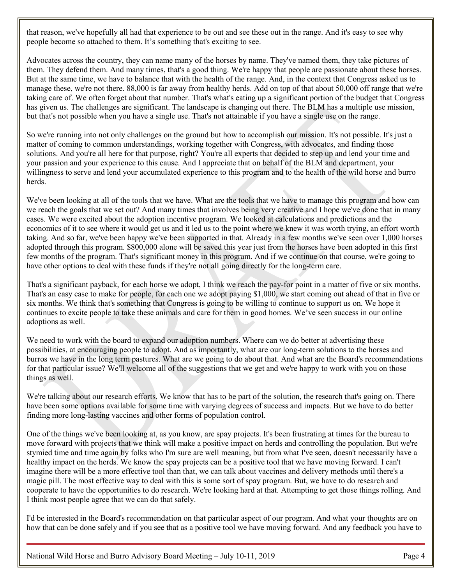that reason, we've hopefully all had that experience to be out and see these out in the range. And it's easy to see why people become so attached to them. It's something that's exciting to see.

 But at the same time, we have to balance that with the health of the range. And, in the context that Congress asked us to taking care of. We often forget about that number. That's what's eating up a significant portion of the budget that Congress but that's not possible when you have a single use. That's not attainable if you have a single use on the range. has given us. The challenges are significant. The landscape is changing out there. The BLM has a multiple use mission, Advocates across the country, they can name many of the horses by name. They've named them, they take pictures of them. They defend them. And many times, that's a good thing. We're happy that people are passionate about these horses. manage these, we're not there. 88,000 is far away from healthy herds. Add on top of that about 50,000 off range that we're

So we're running into not only challenges on the ground but how to accomplish our mission. It's not possible. It's just a matter of coming to common understandings, working together with Congress, with advocates, and finding those solutions. And you're all here for that purpose, right? You're all experts that decided to step up and lend your time and your passion and your experience to this cause. And I appreciate that on behalf of the BLM and department, your willingness to serve and lend your accumulated experience to this program and to the health of the wild horse and burro herds.

 We've been looking at all of the tools that we have. What are the tools that we have to manage this program and how can we reach the goals that we set out? And many times that involves being very creative and I hope we've done that in many have other options to deal with these funds if they're not all going directly for the long-term care. cases. We were excited about the adoption incentive program. We looked at calculations and predictions and the economics of it to see where it would get us and it led us to the point where we knew it was worth trying, an effort worth taking. And so far, we've been happy we've been supported in that. Already in a few months we've seen over 1,000 horses adopted through this program. \$800,000 alone will be saved this year just from the horses have been adopted in this first few months of the program. That's significant money in this program. And if we continue on that course, we're going to

 That's a significant payback, for each horse we adopt, I think we reach the pay-for point in a matter of five or six months. That's an easy case to make for people, for each one we adopt paying \$1,000, we start coming out ahead of that in five or six months. We think that's something that Congress is going to be willing to continue to support us on. We hope it continues to excite people to take these animals and care for them in good homes. We've seen success in our online adoptions as well.

 possibilities, at encouraging people to adopt. And as importantly, what are our long-term solutions to the horses and burros we have in the long term pastures. What are we going to do about that. And what are the Board's recommendations for that particular issue? We'll welcome all of the suggestions that we get and we're happy to work with you on those We need to work with the board to expand our adoption numbers. Where can we do better at advertising these things as well.

 We're talking about our research efforts. We know that has to be part of the solution, the research that's going on. There have been some options available for some time with varying degrees of success and impacts. But we have to do better finding more long-lasting vaccines and other forms of population control.

 One of the things we've been looking at, as you know, are spay projects. It's been frustrating at times for the bureau to healthy impact on the herds. We know the spay projects can be a positive tool that we have moving forward. I can't I think most people agree that we can do that safely. move forward with projects that we think will make a positive impact on herds and controlling the population. But we're stymied time and time again by folks who I'm sure are well meaning, but from what I've seen, doesn't necessarily have a imagine there will be a more effective tool than that, we can talk about vaccines and delivery methods until there's a magic pill. The most effective way to deal with this is some sort of spay program. But, we have to do research and cooperate to have the opportunities to do research. We're looking hard at that. Attempting to get those things rolling. And

I'd be interested in the Board's recommendation on that particular aspect of our program. And what your thoughts are on how that can be done safely and if you see that as a positive tool we have moving forward. And any feedback you have to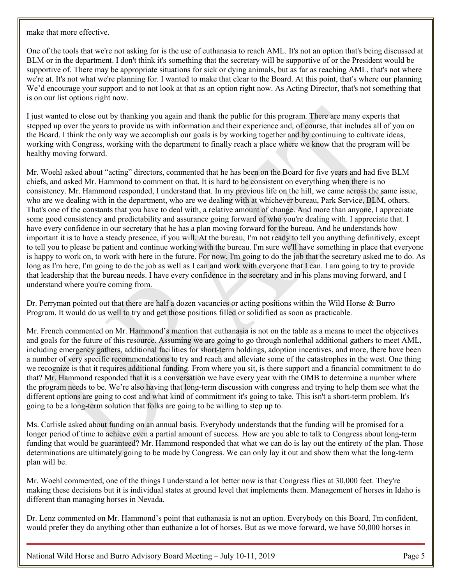make that more effective.

 BLM or in the department. I don't think it's something that the secretary will be supportive of or the President would be supportive of. There may be appropriate situations for sick or dying animals, but as far as reaching AML, that's not where we're at. It's not what we're planning for. I wanted to make that clear to the Board. At this point, that's where our planning is on our list options right now. One of the tools that we're not asking for is the use of euthanasia to reach AML. It's not an option that's being discussed at We'd encourage your support and to not look at that as an option right now. As Acting Director, that's not something that

 stepped up over the years to provide us with information and their experience and, of course, that includes all of you on the Board. I think the only way we accomplish our goals is by working together and by continuing to cultivate ideas, I just wanted to close out by thanking you again and thank the public for this program. There are many experts that working with Congress, working with the department to finally reach a place where we know that the program will be healthy moving forward.

 Mr. Woehl asked about "acting" directors, commented that he has been on the Board for five years and had five BLM That's one of the constants that you have to deal with, a relative amount of change. And more than anyone, I appreciate important it is to have a steady presence, if you will. At the bureau, I'm not ready to tell you anything definitively, except long as I'm here, I'm going to do the job as well as I can and work with everyone that I can. I am going to try to provide chiefs, and asked Mr. Hammond to comment on that. It is hard to be consistent on everything when there is no consistency. Mr. Hammond responded, I understand that. In my previous life on the hill, we came across the same issue, who are we dealing with in the department, who are we dealing with at whichever bureau, Park Service, BLM, others. some good consistency and predictability and assurance going forward of who you're dealing with. I appreciate that. I have every confidence in our secretary that he has a plan moving forward for the bureau. And he understands how to tell you to please be patient and continue working with the bureau. I'm sure we'll have something in place that everyone is happy to work on, to work with here in the future. For now, I'm going to do the job that the secretary asked me to do. As that leadership that the bureau needs. I have every confidence in the secretary and in his plans moving forward, and I understand where you're coming from.

 Dr. Perryman pointed out that there are half a dozen vacancies or acting positions within the Wild Horse & Burro Program. It would do us well to try and get those positions filled or solidified as soon as practicable.

 Mr. French commented on Mr. Hammond's mention that euthanasia is not on the table as a means to meet the objectives and goals for the future of this resource. Assuming we are going to go through nonlethal additional gathers to meet AML, a number of very specific recommendations to try and reach and alleviate some of the catastrophes in the west. One thing that? Mr. Hammond responded that it is a conversation we have every year with the OMB to determine a number where different options are going to cost and what kind of commitment it's going to take. This isn't a short-term problem. It's including emergency gathers, additional facilities for short-term holdings, adoption incentives, and more, there have been we recognize is that it requires additional funding. From where you sit, is there support and a financial commitment to do the program needs to be. We're also having that long-term discussion with congress and trying to help them see what the going to be a long-term solution that folks are going to be willing to step up to.

 Ms. Carlisle asked about funding on an annual basis. Everybody understands that the funding will be promised for a determinations are ultimately going to be made by Congress. We can only lay it out and show them what the long-term longer period of time to achieve even a partial amount of success. How are you able to talk to Congress about long-term funding that would be guaranteed? Mr. Hammond responded that what we can do is lay out the entirety of the plan. Those plan will be.

 Mr. Woehl commented, one of the things I understand a lot better now is that Congress flies at 30,000 feet. They're making these decisions but it is individual states at ground level that implements them. Management of horses in Idaho is different than managing horses in Nevada.

 Dr. Lenz commented on Mr. Hammond's point that euthanasia is not an option. Everybody on this Board, I'm confident, would prefer they do anything other than euthanize a lot of horses. But as we move forward, we have 50,000 horses in

National Wild Horse and Burro Advisory Board Meeting – July 10-11, 2019 Page 5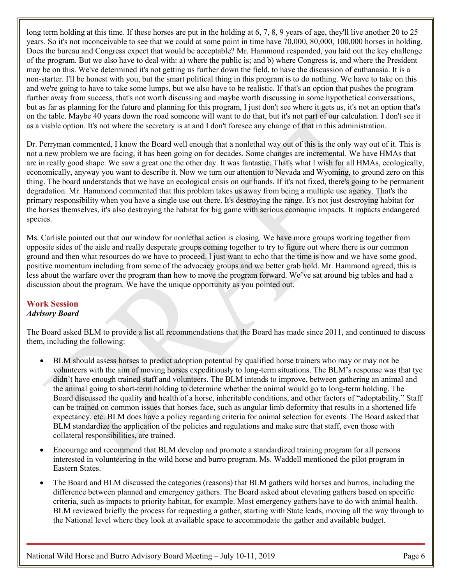long term holding at this time. If these horses are put in the holding at 6, 7, 8, 9 years of age, they'll live another 20 to 25 of the program. But we also have to deal with: a) where the public is; and b) where Congress is, and where the President may be on this. We've determined it's not getting us further down the field, to have the discussion of euthanasia. It is a non-starter. I'll be honest with you, but the smart political thing in this program is to do nothing. We have to take on this but as far as planning for the future and planning for this program, I just don't see where it gets us, it's not an option that's on the table. Maybe 40 years down the road someone will want to do that, but it's not part of our calculation. I don't see it years. So it's not inconceivable to see that we could at some point in time have 70,000, 80,000, 100,000 horses in holding. Does the bureau and Congress expect that would be acceptable? Mr. Hammond responded, you laid out the key challenge and we're going to have to take some lumps, but we also have to be realistic. If that's an option that pushes the program further away from success, that's not worth discussing and maybe worth discussing in some hypothetical conversations, as a viable option. It's not where the secretary is at and I don't foresee any change of that in this administration.

 Dr. Perryman commented, I know the Board well enough that a nonlethal way out of this is the only way out of it. This is are in really good shape. We saw a great one the other day. It was fantastic. That's what I wish for all HMAs, ecologically, economically, anyway you want to describe it. Now we turn our attention to Nevada and Wyoming, to ground zero on this degradation. Mr. Hammond commented that this problem takes us away from being a multiple use agency. That's the primary responsibility when you have a single use out there. It's destroying the range. It's not just destroying habitat for not a new problem we are facing, it has been going on for decades. Some changes are incremental. We have HMAs that thing. The board understands that we have an ecological crisis on our hands. If it's not fixed, there's going to be permanent the horses themselves, it's also destroying the habitat for big game with serious economic impacts. It impacts endangered species.

 Ms. Carlisle pointed out that our window for nonlethal action is closing. We have more groups working together from ground and then what resources do we have to proceed. I just want to echo that the time is now and we have some good, opposite sides of the aisle and really desperate groups coming together to try to figure out where there is our common positive momentum including from some of the advocacy groups and we better grab hold. Mr. Hammond agreed, this is less about the warfare over the program than how to move the program forward. We've sat around big tables and had a discussion about the program. We have the unique opportunity as you pointed out.

# <span id="page-6-0"></span>**Work Session**

### *Advisory Board*

 The Board asked BLM to provide a list all recommendations that the Board has made since 2011, and continued to discuss them, including the following:

- • BLM should assess horses to predict adoption potential by qualified horse trainers who may or may not be volunteers with the aim of moving horses expeditiously to long-term situations. The BLM's response was that tye Board discussed the quality and health of a horse, inheritable conditions, and other factors of "adoptability." Staff didn't have enough trained staff and volunteers. The BLM intends to improve, between gathering an animal and the animal going to short-term holding to determine whether the animal would go to long-term holding. The can be trained on common issues that horses face, such as angular limb deformity that results in a shortened life expectancy, etc. BLM does have a policy regarding criteria for animal selection for events. The Board asked that BLM standardize the application of the policies and regulations and make sure that staff, even those with collateral responsibilities, are trained.
- • Encourage and recommend that BLM develop and promote a standardized training program for all persons interested in volunteering in the wild horse and burro program. Ms. Waddell mentioned the pilot program in Eastern States.
- difference between planned and emergency gathers. The Board asked about elevating gathers based on specific • The Board and BLM discussed the categories (reasons) that BLM gathers wild horses and burros, including the criteria, such as impacts to priority habitat, for example. Most emergency gathers have to do with animal health. BLM reviewed briefly the process for requesting a gather, starting with State leads, moving all the way through to the National level where they look at available space to accommodate the gather and available budget.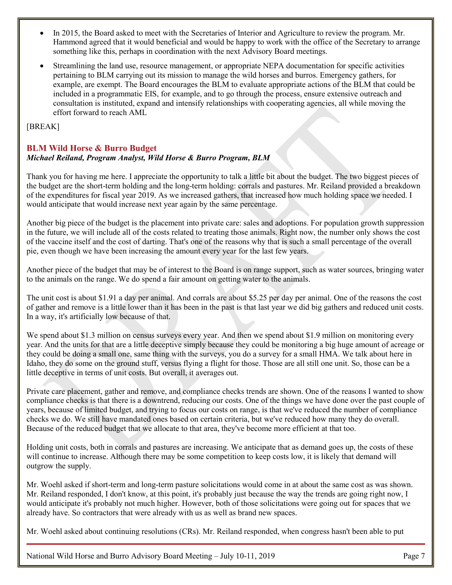- In 2015, the Board asked to meet with the Secretaries of Interior and Agriculture to review the program. Mr. Hammond agreed that it would beneficial and would be happy to work with the office of the Secretary to arrange something like this, perhaps in coordination with the next Advisory Board meetings.
- pertaining to BLM carrying out its mission to manage the wild horses and burros. Emergency gathers, for example, are exempt. The Board encourages the BLM to evaluate appropriate actions of the BLM that could be • Streamlining the land use, resource management, or appropriate NEPA documentation for specific activities included in a programmatic EIS, for example, and to go through the process, ensure extensive outreach and consultation is instituted, expand and intensify relationships with cooperating agencies, all while moving the effort forward to reach AML

### [BREAK]

## <span id="page-7-0"></span>**BLM Wild Horse & Burro Budget**

### *Michael Reiland, Program Analyst, Wild Horse & Burro Program, BLM*

 Thank you for having me here. I appreciate the opportunity to talk a little bit about the budget. The two biggest pieces of of the expenditures for fiscal year 2019. As we increased gathers, that increased how much holding space we needed. I would anticipate that would increase next year again by the same percentage. the budget are the short-term holding and the long-term holding: corrals and pastures. Mr. Reiland provided a breakdown

 Another big piece of the budget is the placement into private care: sales and adoptions. For population growth suppression in the future, we will include all of the costs related to treating those animals. Right now, the number only shows the cost of the vaccine itself and the cost of darting. That's one of the reasons why that is such a small percentage of the overall pie, even though we have been increasing the amount every year for the last few years.

 Another piece of the budget that may be of interest to the Board is on range support, such as water sources, bringing water to the animals on the range. We do spend a fair amount on getting water to the animals.

 The unit cost is about \$1.91 a day per animal. And corrals are about \$5.25 per day per animal. One of the reasons the cost of gather and remove is a little lower than it has been in the past is that last year we did big gathers and reduced unit costs. In a way, it's artificially low because of that.

 Idaho, they do some on the ground stuff, versus flying a flight for those. Those are all still one unit. So, those can be a little deceptive in terms of unit costs. But overall, it averages out. We spend about \$1.3 million on census surveys every year. And then we spend about \$1.9 million on monitoring every year. And the units for that are a little deceptive simply because they could be monitoring a big huge amount of acreage or they could be doing a small one, same thing with the surveys, you do a survey for a small HMA. We talk about here in

 Private care placement, gather and remove, and compliance checks trends are shown. One of the reasons I wanted to show compliance checks is that there is a downtrend, reducing our costs. One of the things we have done over the past couple of years, because of limited budget, and trying to focus our costs on range, is that we've reduced the number of compliance Because of the reduced budget that we allocate to that area, they've become more efficient at that too. checks we do. We still have mandated ones based on certain criteria, but we've reduced how many they do overall.

 Holding unit costs, both in corrals and pastures are increasing. We anticipate that as demand goes up, the costs of these will continue to increase. Although there may be some competition to keep costs low, it is likely that demand will outgrow the supply.

 Mr. Woehl asked if short-term and long-term pasture solicitations would come in at about the same cost as was shown. Mr. Reiland responded, I don't know, at this point, it's probably just because the way the trends are going right now, I would anticipate it's probably not much higher. However, both of those solicitations were going out for spaces that we already have. So contractors that were already with us as well as brand new spaces.

Mr. Woehl asked about continuing resolutions (CRs). Mr. Reiland responded, when congress hasn't been able to put

National Wild Horse and Burro Advisory Board Meeting – July 10-11, 2019 Page 7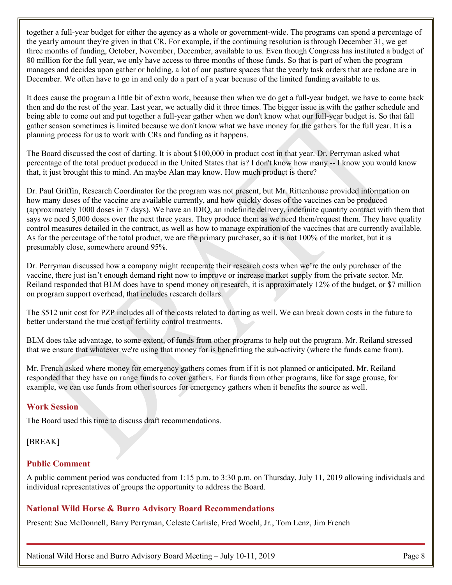the yearly amount they're given in that CR. For example, if the continuing resolution is through December 31, we get manages and decides upon gather or holding, a lot of our pasture spaces that the yearly task orders that are redone are in December. We often have to go in and only do a part of a year because of the limited funding available to us. together a full-year budget for either the agency as a whole or government-wide. The programs can spend a percentage of three months of funding, October, November, December, available to us. Even though Congress has instituted a budget of 80 million for the full year, we only have access to three months of those funds. So that is part of when the program

 then and do the rest of the year. Last year, we actually did it three times. The bigger issue is with the gather schedule and gather season sometimes is limited because we don't know what we have money for the gathers for the full year. It is a planning process for us to work with CRs and funding as it happens. It does cause the program a little bit of extra work, because then when we do get a full-year budget, we have to come back being able to come out and put together a full-year gather when we don't know what our full-year budget is. So that fall

 percentage of the total product produced in the United States that is? I don't know how many -- I know you would know that, it just brought this to mind. An maybe Alan may know. How much product is there? The Board discussed the cost of darting. It is about \$100,000 in product cost in that year. Dr. Perryman asked what

 Dr. Paul Griffin, Research Coordinator for the program was not present, but Mr. Rittenhouse provided information on (approximately 1000 doses in 7 days). We have an IDIQ, an indefinite delivery, indefinite quantity contract with them that says we need 5,000 doses over the next three years. They produce them as we need them/request them. They have quality control measures detailed in the contract, as well as how to manage expiration of the vaccines that are currently available. As for the percentage of the total product, we are the primary purchaser, so it is not 100% of the market, but it is how many doses of the vaccine are available currently, and how quickly doses of the vaccines can be produced presumably close, somewhere around 95%.

 Dr. Perryman discussed how a company might recuperate their research costs when we're the only purchaser of the vaccine, there just isn't enough demand right now to improve or increase market supply from the private sector. Mr. Reiland responded that BLM does have to spend money on research, it is approximately 12% of the budget, or \$7 million on program support overhead, that includes research dollars.

 The \$512 unit cost for PZP includes all of the costs related to darting as well. We can break down costs in the future to better understand the true cost of fertility control treatments.

 that we ensure that whatever we're using that money for is benefitting the sub-activity (where the funds came from). BLM does take advantage, to some extent, of funds from other programs to help out the program. Mr. Reiland stressed

 Mr. French asked where money for emergency gathers comes from if it is not planned or anticipated. Mr. Reiland responded that they have on range funds to cover gathers. For funds from other programs, like for sage grouse, for example, we can use funds from other sources for emergency gathers when it benefits the source as well.

# <span id="page-8-0"></span>**Work Session**

The Board used this time to discuss draft recommendations.

### [BREAK]

# <span id="page-8-1"></span>**Public Comment**

 individual representatives of groups the opportunity to address the Board. A public comment period was conducted from 1:15 p.m. to 3:30 p.m. on Thursday, July 11, 2019 allowing individuals and

# <span id="page-8-2"></span>**National Wild Horse & Burro Advisory Board Recommendations**

Present: Sue McDonnell, Barry Perryman, Celeste Carlisle, Fred Woehl, Jr., Tom Lenz, Jim French

National Wild Horse and Burro Advisory Board Meeting – July 10-11, 2019 Page 8